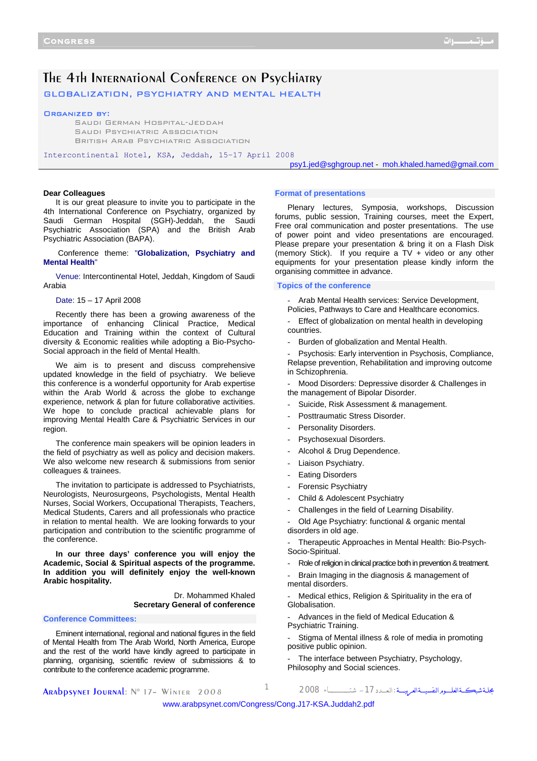## The 4th International Conference on Psychiatry

GLOBALIZATION, PSYCHIATRY AND MENTAL HEALTH

#### Organized by:

Saudi German Hospital-Jeddah Saudi Psychiatric Association British Arab Psychiatric Association

Intercontinental Hotel, KSA, Jeddah, 15–17 April 2008

psy1.jed@sghgroup.net - moh.khaled.hamed@gmail.com

#### **Dear Colleagues**

It is our great pleasure to invite you to participate in the 4th International Conference on Psychiatry, organized by Saudi German Hospital (SGH)-Jeddah, the Saudi Psychiatric Association (SPA) and the British Arab Psychiatric Association (BAPA).

 Conference theme: "**Globalization, Psychiatry and Mental Health**"

Venue: Intercontinental Hotel, Jeddah, Kingdom of Saudi Arabia

Date: 15 – 17 April 2008

Recently there has been a growing awareness of the importance of enhancing Clinical Practice, Medical Education and Training within the context of Cultural diversity & Economic realities while adopting a Bio-Psycho-Social approach in the field of Mental Health.

We aim is to present and discuss comprehensive updated knowledge in the field of psychiatry. We believe this conference is a wonderful opportunity for Arab expertise within the Arab World & across the globe to exchange experience, network & plan for future collaborative activities. We hope to conclude practical achievable plans for improving Mental Health Care & Psychiatric Services in our region.

The conference main speakers will be opinion leaders in the field of psychiatry as well as policy and decision makers. We also welcome new research & submissions from senior colleagues & trainees.

The invitation to participate is addressed to Psychiatrists, Neurologists, Neurosurgeons, Psychologists, Mental Health Nurses, Social Workers, Occupational Therapists, Teachers, Medical Students, Carers and all professionals who practice in relation to mental health. We are looking forwards to your participation and contribution to the scientific programme of the conference.

**In our three days' conference you will enjoy the Academic, Social & Spiritual aspects of the programme. In addition you will definitely enjoy the well-known Arabic hospitality.**

> Dr. Mohammed Khaled **Secretary General of conference**

#### **Conference Committees:**

Eminent international, regional and national figures in the field of Mental Health from The Arab World, North America, Europe and the rest of the world have kindly agreed to participate in planning, organising, scientific review of submissions & to contribute to the conference academic programme.

#### **Format of presentations**

Plenary lectures, Symposia, workshops, Discussion forums, public session, Training courses, meet the Expert, Free oral communication and poster presentations. The use of power point and video presentations are encouraged. Please prepare your presentation & bring it on a Flash Disk (memory Stick). If you require a  $TV +$  video or any other equipments for your presentation please kindly inform the organising committee in advance.

#### **Topics of the conference**

Arab Mental Health services: Service Development, Policies, Pathways to Care and Healthcare economics.

Effect of globalization on mental health in developing countries.

Burden of globalization and Mental Health.

Psychosis: Early intervention in Psychosis, Compliance, Relapse prevention, Rehabilitation and improving outcome in Schizophrenia.

Mood Disorders: Depressive disorder & Challenges in the management of Bipolar Disorder.

- Suicide, Risk Assessment & management.
- Posttraumatic Stress Disorder.
- Personality Disorders.
- Psychosexual Disorders.
- Alcohol & Drug Dependence.
- Liaison Psychiatry.
- **Eating Disorders**
- Forensic Psychiatry
- Child & Adolescent Psychiatry
- Challenges in the field of Learning Disability.

Old Age Psychiatry: functional & organic mental disorders in old age.

Therapeutic Approaches in Mental Health: Bio-Psych-Socio-Spiritual.

- Role of religion in clinical practice both in prevention & treatment.

Brain Imaging in the diagnosis & management of mental disorders.

Medical ethics, Religion & Spirituality in the era of Globalisation.

- Advances in the field of Medical Education & Psychiatric Training.

Stigma of Mental illness & role of media in promoting positive public opinion.

The interface between Psychiatry, Psychology, Philosophy and Social sciences.

Arabpsynet Journal: N° 17– Winter 2008 <sup>1</sup> <sup>2008</sup> شتــــــــــــــــــــاء -17الـعــــدد: مجلــةشبكـــةالعلــــــومالنفسيــــةالعربيـــــة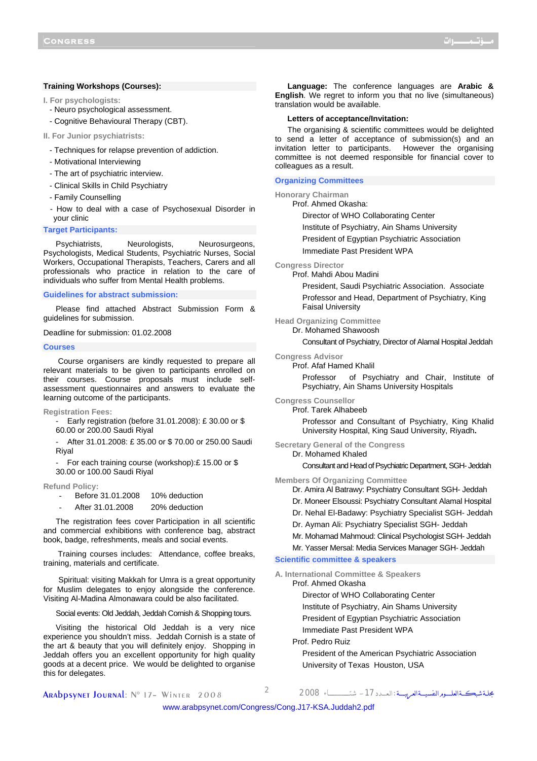#### **Training Workshops (Courses):**

**I. For psychologists:**

- Neuro psychological assessment.
- Cognitive Behavioural Therapy (CBT).
- **II. For Junior psychiatrists:** 
	- Techniques for relapse prevention of addiction.
	- Motivational Interviewing
	- The art of psychiatric interview.
	- Clinical Skills in Child Psychiatry
	- Family Counselling
	- How to deal with a case of Psychosexual Disorder in your clinic

#### **Target Participants:**

Psychiatrists, Neurologists, Neurosurgeons, Psychologists, Medical Students, Psychiatric Nurses, Social Workers, Occupational Therapists, Teachers, Carers and all professionals who practice in relation to the care of individuals who suffer from Mental Health problems.

#### **Guidelines for abstract submission:**

Please find attached Abstract Submission Form & guidelines for submission.

Deadline for submission: 01.02.2008

#### **Courses**

Course organisers are kindly requested to prepare all relevant materials to be given to participants enrolled on their courses. Course proposals must include selfassessment questionnaires and answers to evaluate the learning outcome of the participants.

**Registration Fees:** 

- Early registration (before 31.01.2008): £ 30.00 or \$ 60.00 or 200.00 Saudi Riyal

After 31.01.2008: £ 35.00 or \$ 70.00 or 250.00 Saudi Riyal

For each training course (workshop): £15.00 or \$

30.00 or 100.00 Saudi Riyal

#### **Refund Policy:**

- Before 31.01.2008 10% deduction
- After 31.01.2008 20% deduction

The registration fees cover Participation in all scientific and commercial exhibitions with conference bag, abstract book, badge, refreshments, meals and social events.

 Training courses includes: Attendance, coffee breaks, training, materials and certificate.

Spiritual: visiting Makkah for Umra is a great opportunity for Muslim delegates to enjoy alongside the conference. Visiting Al-Madina Almonawara could be also facilitated.

Social events: Old Jeddah, Jeddah Cornish & Shopping tours.

Visiting the historical Old Jeddah is a very nice experience you shouldn't miss. Jeddah Cornish is a state of the art & beauty that you will definitely enjoy. Shopping in Jeddah offers you an excellent opportunity for high quality goods at a decent price. We would be delighted to organise this for delegates.

**Language:** The conference languages are **Arabic & English**. We regret to inform you that no live (simultaneous) translation would be available.

#### **Letters of acceptance/Invitation:**

The organising & scientific committees would be delighted to send a letter of acceptance of submission(s) and an invitation letter to participants. However the organising committee is not deemed responsible for financial cover to colleagues as a result.

#### **Organizing Committees**

**Honorary Chairman** 

#### Prof. Ahmed Okasha:

Director of WHO Collaborating Center

Institute of Psychiatry, Ain Shams University

President of Egyptian Psychiatric Association

Immediate Past President WPA

**Congress Director** 

Prof. Mahdi Abou Madini

President, Saudi Psychiatric Association. Associate Professor and Head, Department of Psychiatry, King Faisal University

#### **Head Organizing Committee**

Dr. Mohamed Shawoosh

Consultant of Psychiatry, Director of Alamal Hospital Jeddah

#### **Congress Advisor**

Prof. Afaf Hamed Khalil

Professor of Psychiatry and Chair, Institute of Psychiatry, Ain Shams University Hospitals

#### **Congress Counsellor**

Prof. Tarek Alhabeeb

Professor and Consultant of Psychiatry, King Khalid University Hospital, King Saud University, Riyadh**.** 

#### **Secretary General of the Congress**

Dr. Mohamed Khaled

Consultant and Head of Psychiatric Department, SGH- Jeddah

**Members Of Organizing Committee** 

- Dr. Amira Al Batrawy: Psychiatry Consultant SGH- Jeddah
- Dr. Moneer Elsoussi: Psychiatry Consultant Alamal Hospital
- Dr. Nehal El-Badawy: Psychiatry Specialist SGH- Jeddah
- Dr. Ayman Ali: Psychiatry Specialist SGH- Jeddah
- Mr. Mohamad Mahmoud: Clinical Psychologist SGH- Jeddah
- Mr. Yasser Mersal: Media Services Manager SGH- Jeddah

#### **Scientific committee & speakers**

**A. International Committee & Speakers** 

- Prof. Ahmed Okasha
	- Director of WHO Collaborating Center
	- Institute of Psychiatry, Ain Shams University
	- President of Egyptian Psychiatric Association
	- Immediate Past President WPA

Prof. Pedro Ruiz

President of the American Psychiatric Association University of Texas Houston, USA

Arabpsynet Journal: N° 17– Winter 2008 <sup>2</sup> <sup>2008</sup> شتــــــــــــــــــــاء -17الـعــــدد: مجلــةشبكـــةالعلــــــومالنفسيــــةالعربيـــــة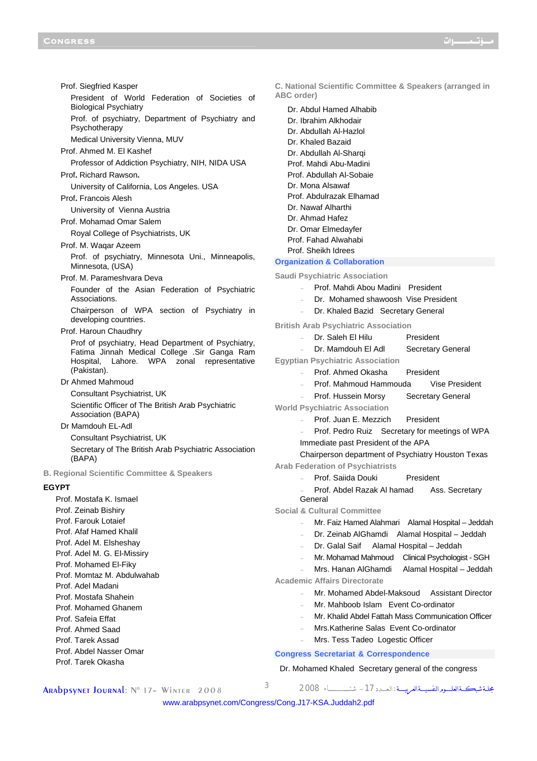Prof. Siegfried Kasper President of World Federation of Societies of Biological Psychiatry Prof. of psychiatry, Department of Psychiatry and Psychotherapy Medical University Vienna, MUV Prof. Ahmed M. El Kashef Professor of Addiction Psychiatry, NIH, NIDA USA Prof**.** Richard Rawson**.** University of California, Los Angeles. USA Prof**.** Francois Alesh University of Vienna Austria Prof. Mohamad Omar Salem Royal College of Psychiatrists, UK Prof. M. Waqar Azeem Prof. of psychiatry, Minnesota Uni., Minneapolis, Minnesota, (USA) Prof. M. Parameshvara Deva Founder of the Asian Federation of Psychiatric Associations. Chairperson of WPA section of Psychiatry in developing countries. Prof. Haroun Chaudhry Prof of psychiatry, Head Department of Psychiatry, Fatima Jinnah Medical College .Sir Ganga Ram Hospital, Lahore. WPA zonal representative (Pakistan). Dr Ahmed Mahmoud Consultant Psychiatrist, UK Scientific Officer of The British Arab Psychiatric Association (BAPA) Dr Mamdouh EL-Adl Consultant Psychiatrist, UK Secretary of The British Arab Psychiatric Association (BAPA) **B. Regional Scientific Committee & Speakers EGYPT** Prof. Mostafa K. Ismael Prof. Zeinab Bishiry Prof. Farouk Lotaief Prof. Afaf Hamed Khalil Prof. Adel M. Elsheshay Prof. Adel M. G. El-Missiry Prof. Mohamed El-Fiky Prof. Momtaz M. Abdulwahab Prof. Adel Madani Prof. Mostafa Shahein Prof. Mohamed Ghanem Prof. Safeia Effat Prof. Ahmed Saad Prof. Tarek Assad Prof. Abdel Nasser Omar Prof. Tarek Okasha

**C. National Scientific Committee & Speakers (arranged in ABC order)** 

Dr. Abdul Hamed Alhabib Dr. Ibrahim Alkhodair Dr. Abdullah Al-Hazlol Dr. Khaled Bazaid Dr. Abdullah Al-Sharqi Prof. Mahdi Abu-Madini Prof. Abdullah Al-Sobaie Dr. Mona Alsawaf Prof. Abdulrazak Elhamad Dr. Nawaf Alharthi Dr. Ahmad Hafez Dr. Omar Elmedayfer Prof. Fahad Alwahabi Prof. Sheikh Idrees

#### **Organization & Collaboration**

**Saudi Psychiatric Association** 

- Prof. Mahdi Abou Madini President
- Dr. Mohamed shawoosh Vise President
- Dr. Khaled Bazid Secretary General

**British Arab Psychiatric Association** 

- Dr. Saleh El Hilu President Dr. Mamdouh El Adl Secretary General **Egyptian Psychiatric Association**  Prof. Ahmed Okasha President Prof. Mahmoud Hammouda Vise President Prof. Hussein Morsy Secretary General **World Psychiatric Association**  Prof. Juan E. Mezzich President Prof. Pedro Ruiz Secretary for meetings of WPA Immediate past President of the APA Chairperson department of Psychiatry Houston Texas **Arab Federation of Psychiatrists**  Prof. Saiida Douki President Prof. Abdel Razak Al hamad Ass. Secretary General **Social & Cultural Committee**  Mr. Faiz Hamed Alahmari Alamal Hospital – Jeddah - Dr. Zeinab AlGhamdi Alamal Hospital – Jeddah Dr. Galal Saif Alamal Hospital - Jeddah Mr. Mohamad Mahmoud Clinical Psychologist - SGH Mrs. Hanan AlGhamdi Alamal Hospital – Jeddah **Academic Affairs Directorate**  Mr. Mohamed Abdel-Maksoud Assistant Director
	- Mr. Mahboob Islam Fyent Co-ordinator
	- Mr. Khalid Abdel Fattah Mass Communication Officer
	- Mrs.Katherine Salas Event Co-ordinator
	- Mrs. Tess Tadeo Logestic Officer

#### **Congress Secretariat & Correspondence**

Dr. Mohamed Khaled Secretary general of the congress

Arabpsynet Journal: N° 17– Winter 2008 <sup>3</sup> <sup>2008</sup> شتــــــــــــــــــــاء -17الـعــــدد: مجلــةشبكـــةالعلــــــومالنفسيــــةالعربيـــــة

<www.arabpsynet.com/Congress/Cong.J17-KSA.Juddah2.pdf>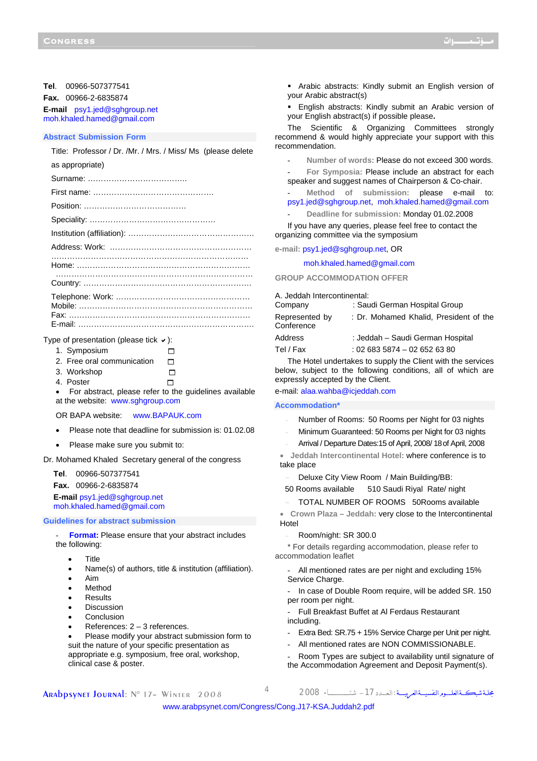#### **Tel**. 00966-507377541

**Fax.** 00966-2-6835874

**E-mail** psy1.jed@sghgroup.net moh.khaled.hamed@gmail.com

#### **Abstract Submission Form**

| Title: Professor / Dr. /Mr. / Mrs. / Miss/ Ms (please delete |
|--------------------------------------------------------------|
| as appropriate)                                              |
|                                                              |
|                                                              |
|                                                              |
|                                                              |
|                                                              |
|                                                              |
|                                                              |
|                                                              |
|                                                              |
|                                                              |

Type of presentation (please tick  $\vee$ ):

| 1. Symposium               | П      |  |
|----------------------------|--------|--|
| 2. Free oral communication |        |  |
| 3. Workshop                | $\Box$ |  |
| 4. Poster                  | п      |  |

• For abstract, please refer to the guidelines available at the website: <www.sghgroup.com>

OR BAPA website: <www.BAPAUK.com>

- Please note that deadline for submission is: 01.02.08
- Please make sure you submit to:

Dr. Mohamed Khaled Secretary general of the congress

**Tel**. 00966-507377541

**Fax.** 00966-2-6835874

**E-mail** psy1.jed@sghgroup.net moh.khaled.hamed@gmail.com

**Guidelines for abstract submission** 

**Format:** Please ensure that your abstract includes the following:

- Title
- Name(s) of authors, title & institution (affiliation).
- Aim
- **Method**
- Results
- **Discussion**
- **Conclusion**
- References:  $2 3$  references.
- Please modify your abstract submission form to suit the nature of your specific presentation as appropriate e.g. symposium, free oral, workshop, clinical case & poster.

 Arabic abstracts: Kindly submit an English version of your Arabic abstract(s)

 English abstracts: Kindly submit an Arabic version of your English abstract(s) if possible please**.** 

The Scientific & Organizing Committees strongly recommend & would highly appreciate your support with this recommendation.

- **Number of words:** Please do not exceed 300 words.

- **For Symposia:** Please include an abstract for each speaker and suggest names of Chairperson & Co-chair.

Method of submission: please e-mail to: psy1.jed@sghgroup.net, moh.khaled.hamed@gmail.com

- **Deadline for submission:** Monday 01.02.2008

If you have any queries, please feel free to contact the organizing committee via the symposium

**e-mail:** psy1.jed@sghgroup.net, OR

moh.khaled.hamed@gmail.com

**GROUP ACCOMMODATION OFFER**

A. Jeddah Intercontinental:

| Company                      | : Saudi German Hospital Group          |
|------------------------------|----------------------------------------|
| Represented by<br>Conference | : Dr. Mohamed Khalid, President of the |
| Address                      | : Jeddah - Saudi German Hospital       |
| Tel / Fax                    | $: 026835874 - 026526380$              |

The Hotel undertakes to supply the Client with the services below, subject to the following conditions, all of which are expressly accepted by the Client.

e-mail: alaa.wahba@icjeddah.com

#### **Accommodation\***

- Number of Rooms: 50 Rooms per Night for 03 nights
- Minimum Guaranteed: 50 Rooms per Night for 03 nights
- Arrival / Departure Dates:15 of April, 2008/ 18of April, 2008

• **Jeddah Intercontinental Hotel:** where conference is to take place

- Deluxe City View Room / Main Building/BB:
- 50 Rooms available 510 Saudi Riyal Rate/ night
- TOTAL NUMBER OF ROOMS 50Rooms available

• **Crown Plaza – Jeddah:** very close to the Intercontinental Hotel

Room/night: SR 300.0

\* For details regarding accommodation, please refer to accommodation leaflet

All mentioned rates are per night and excluding 15% Service Charge.

- In case of Double Room require, will be added SR. 150 per room per night.

- Full Breakfast Buffet at Al Ferdaus Restaurant including.
- Extra Bed: SR.75 + 15% Service Charge per Unit per night.
- All mentioned rates are NON COMMISSIONABLE.

Room Types are subject to availability until signature of the Accommodation Agreement and Deposit Payment(s).

Arabpsynet Journal: N° 17– Winter 2008 <sup>4</sup> <sup>2008</sup> شتــــــــــــــــــــاء -17الـعــــدد: مجلــةشبكـــةالعلــــــومالنفسيــــةالعربيـــــة

<www.arabpsynet.com/Congress/Cong.J17-KSA.Juddah2.pdf>